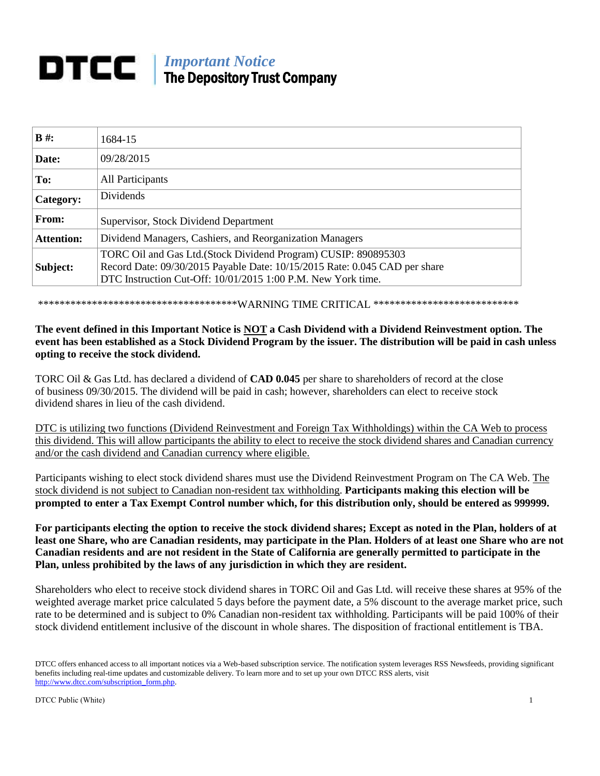# *Important Notice* The Depository Trust Company

| $B \#$ :          | 1684-15                                                                                                                                                                                                       |
|-------------------|---------------------------------------------------------------------------------------------------------------------------------------------------------------------------------------------------------------|
| Date:             | 09/28/2015                                                                                                                                                                                                    |
| To:               | All Participants                                                                                                                                                                                              |
| Category:         | <b>Dividends</b>                                                                                                                                                                                              |
| From:             | Supervisor, Stock Dividend Department                                                                                                                                                                         |
| <b>Attention:</b> | Dividend Managers, Cashiers, and Reorganization Managers                                                                                                                                                      |
| Subject:          | TORC Oil and Gas Ltd. (Stock Dividend Program) CUSIP: 890895303<br>Record Date: 09/30/2015 Payable Date: 10/15/2015 Rate: 0.045 CAD per share<br>DTC Instruction Cut-Off: 10/01/2015 1:00 P.M. New York time. |

\*\*\*\*\*\*\*\*\*\*\*\*\*\*\*\*\*\*\*\*\*\*\*\*\*\*\*\*\*\*\*\*\*\*\*\*\*WARNING TIME CRITICAL \*\*\*\*\*\*\*\*\*\*\*\*\*\*\*\*\*\*\*\*\*\*\*\*\*\*\*

## **The event defined in this Important Notice is NOT a Cash Dividend with a Dividend Reinvestment option. The event has been established as a Stock Dividend Program by the issuer. The distribution will be paid in cash unless opting to receive the stock dividend.**

TORC Oil & Gas Ltd. has declared a dividend of **CAD 0.045** per share to shareholders of record at the close of business 09/30/2015. The dividend will be paid in cash; however, shareholders can elect to receive stock dividend shares in lieu of the cash dividend.

DTC is utilizing two functions (Dividend Reinvestment and Foreign Tax Withholdings) within the CA Web to process this dividend. This will allow participants the ability to elect to receive the stock dividend shares and Canadian currency and/or the cash dividend and Canadian currency where eligible.

Participants wishing to elect stock dividend shares must use the Dividend Reinvestment Program on The CA Web. The stock dividend is not subject to Canadian non-resident tax withholding. **Participants making this election will be prompted to enter a Tax Exempt Control number which, for this distribution only, should be entered as 999999.**

**For participants electing the option to receive the stock dividend shares; Except as noted in the Plan, holders of at least one Share, who are Canadian residents, may participate in the Plan. Holders of at least one Share who are not Canadian residents and are not resident in the State of California are generally permitted to participate in the Plan, unless prohibited by the laws of any jurisdiction in which they are resident.**

Shareholders who elect to receive stock dividend shares in TORC Oil and Gas Ltd. will receive these shares at 95% of the weighted average market price calculated 5 days before the payment date, a 5% discount to the average market price, such rate to be determined and is subject to 0% Canadian non-resident tax withholding. Participants will be paid 100% of their stock dividend entitlement inclusive of the discount in whole shares. The disposition of fractional entitlement is TBA.

DTCC offers enhanced access to all important notices via a Web-based subscription service. The notification system leverages RSS Newsfeeds, providing significant benefits including real-time updates and customizable delivery. To learn more and to set up your own DTCC RSS alerts, visit [http://www.dtcc.com/subscription\\_form.php.](http://www.dtcc.com/subscription_form.php)